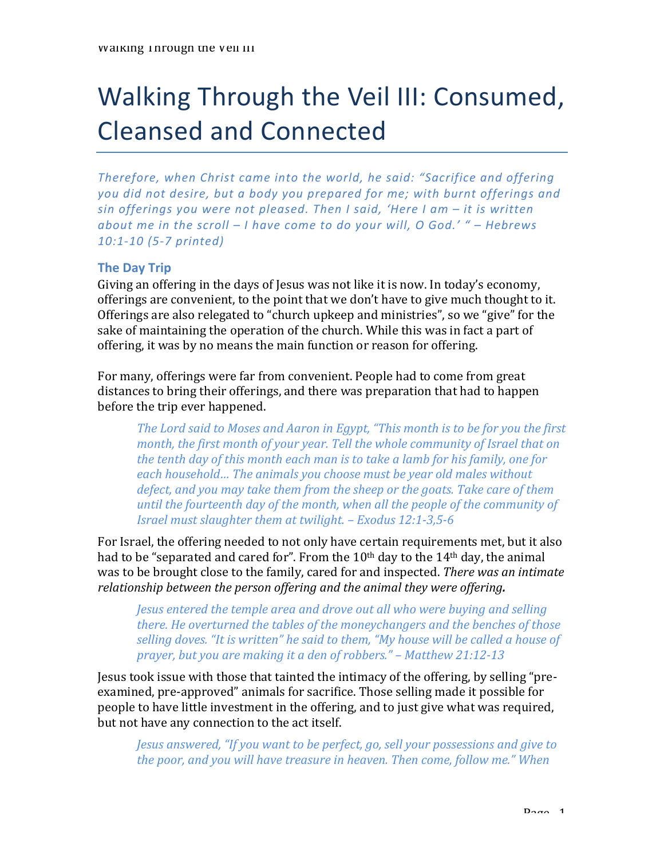# Walking Through the Veil III: Consumed, Cleansed and Connected

*Therefore, when Christ came into the world, he said: "Sacrifice and offering* you did not desire, but a body you prepared for me; with burnt offerings and *sin* offerings you were not pleased. Then I said, 'Here I am – it is written *about* me in the scroll – *I* have come to do your will, O God.' " – *Hebrews 10:1-10 (5-7 printed)*

### **The Day Trip**

Giving an offering in the days of Jesus was not like it is now. In today's economy, offerings are convenient, to the point that we don't have to give much thought to it. Offerings are also relegated to "church upkeep and ministries", so we "give" for the sake of maintaining the operation of the church. While this was in fact a part of offering, it was by no means the main function or reason for offering.

For many, offerings were far from convenient. People had to come from great distances to bring their offerings, and there was preparation that had to happen before the trip ever happened.

The Lord said to Moses and Aaron in Egypt, "This month is to be for you the first *month, the first month of your year. Tell the whole community of Israel that on the tenth day of this month each man is to take a lamb for his family, one for* each household... The animals you choose must be year old males without *defect, and you may take them from the sheep or the goats. Take care of them until the fourteenth day of the month, when all the people of the community of Israel must slaughter them at twilight.* – *Exodus* 12:1-3,5-6

For Israel, the offering needed to not only have certain requirements met, but it also had to be "separated and cared for". From the  $10<sup>th</sup>$  day to the  $14<sup>th</sup>$  day, the animal was to be brought close to the family, cared for and inspected. *There was an intimate relationship* between the person offering and the animal they were offering.

*Jesus entered the temple area and drove out all who were buying and selling there. He overturned the tables of the moneychangers and the benches of those selling doves.* "It is written" he said to them, "My house will be called a house of *prayer, but you are making it a den of robbers." – Matthew 21:12-13* 

Jesus took issue with those that tainted the intimacy of the offering, by selling "preexamined, pre-approved" animals for sacrifice. Those selling made it possible for people to have little investment in the offering, and to just give what was required, but not have any connection to the act itself.

*Jesus answered, "If you want to be perfect, go, sell your possessions and give to the poor, and you will have treasure in heaven. Then come, follow me."* When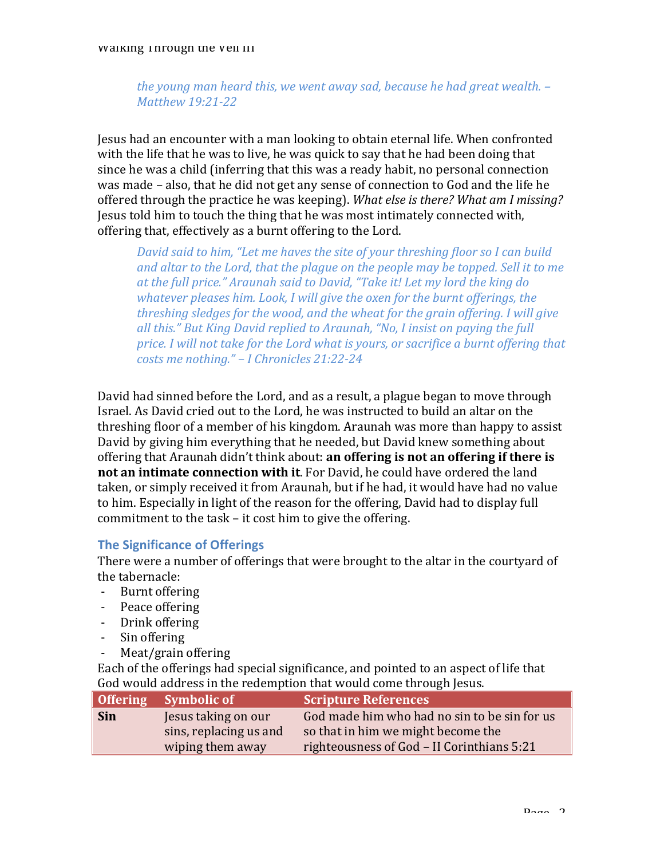*the young man heard this, we went away sad, because he had great wealth.* – *Matthew 19:21-22*

Jesus had an encounter with a man looking to obtain eternal life. When confronted with the life that he was to live, he was quick to say that he had been doing that since he was a child (inferring that this was a ready habit, no personal connection was made – also, that he did not get any sense of connection to God and the life he offered through the practice he was keeping). *What else is there? What am I missing?* Jesus told him to touch the thing that he was most intimately connected with, offering that, effectively as a burnt offering to the Lord.

*David said to him, "Let me haves the site of your threshing floor so I can build* and altar to the Lord, that the plague on the people may be topped. Sell it to me at the full price." Araunah said to David, "Take it! Let my lord the king do whatever pleases him. Look, I will give the oxen for the burnt offerings, the *threshing sledges for the wood, and the wheat for the grain offering. I will give* all this." But King David replied to Araunah, "No, I insist on paying the full *price.* I will not take for the Lord what is yours, or sacrifice a burnt offering that *costs me nothing."* – *I Chronicles 21:22-24* 

David had sinned before the Lord, and as a result, a plague began to move through Israel. As David cried out to the Lord, he was instructed to build an altar on the threshing floor of a member of his kingdom. Araunah was more than happy to assist David by giving him everything that he needed, but David knew something about offering that Araunah didn't think about: **an offering is not an offering if there is not an intimate connection with it.** For David, he could have ordered the land taken, or simply received it from Araunah, but if he had, it would have had no value to him. Especially in light of the reason for the offering, David had to display full commitment to the task  $-$  it cost him to give the offering.

# **The Significance of Offerings**

There were a number of offerings that were brought to the altar in the courtyard of the tabernacle:

- Burnt offering
- Peace offering
- Drink offering
- Sin offering
- Meat/grain offering

Each of the offerings had special significance, and pointed to an aspect of life that God would address in the redemption that would come through Jesus.

|            | Offering Symbolic of   | <b>Scripture References</b>                  |
|------------|------------------------|----------------------------------------------|
| <b>Sin</b> | Jesus taking on our    | God made him who had no sin to be sin for us |
|            | sins, replacing us and | so that in him we might become the           |
|            | wiping them away       | righteousness of God - II Corinthians 5:21   |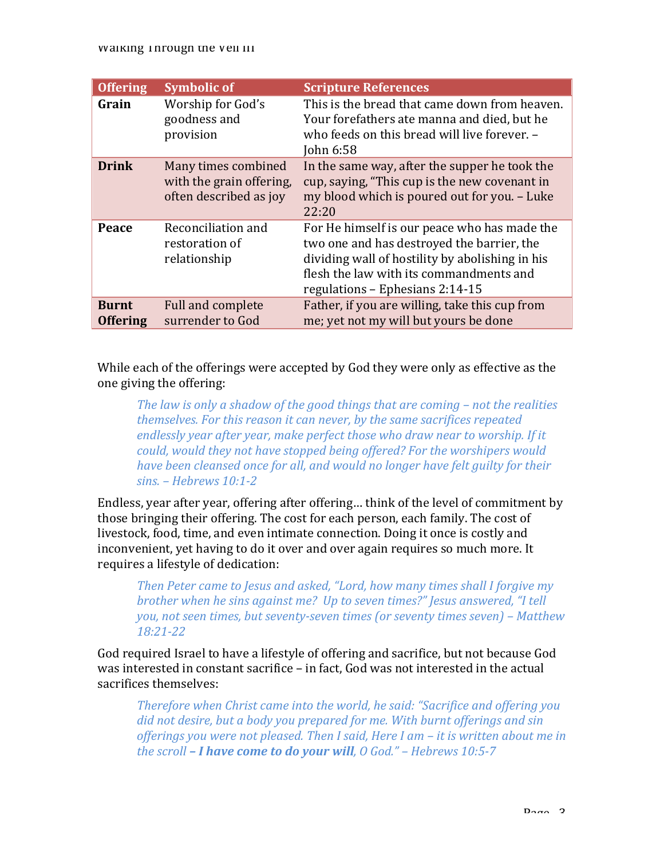#### waiking inrough the veil iii

| <b>Offering</b>                 | <b>Symbolic of</b>                                                        | <b>Scripture References</b>                                                                                                                                                                                                 |
|---------------------------------|---------------------------------------------------------------------------|-----------------------------------------------------------------------------------------------------------------------------------------------------------------------------------------------------------------------------|
| Grain                           | Worship for God's<br>goodness and<br>provision                            | This is the bread that came down from heaven.<br>Your forefathers ate manna and died, but he<br>who feeds on this bread will live forever. -<br>John 6:58                                                                   |
| <b>Drink</b>                    | Many times combined<br>with the grain offering,<br>often described as joy | In the same way, after the supper he took the<br>cup, saying, "This cup is the new covenant in<br>my blood which is poured out for you. - Luke<br>22:20                                                                     |
| Peace                           | Reconciliation and<br>restoration of<br>relationship                      | For He himself is our peace who has made the<br>two one and has destroyed the barrier, the<br>dividing wall of hostility by abolishing in his<br>flesh the law with its commandments and<br>regulations - Ephesians 2:14-15 |
| <b>Burnt</b><br><b>Offering</b> | Full and complete<br>surrender to God                                     | Father, if you are willing, take this cup from<br>me; yet not my will but yours be done                                                                                                                                     |

While each of the offerings were accepted by God they were only as effective as the one giving the offering:

*The law is only a shadow of the good things that are coming – not the realities themselves.* For this reason it can never, by the same sacrifices repeated endlessly year after year, make perfect those who draw near to worship. If it *could, would they not have stopped being offered? For the worshipers would have been cleansed once for all, and would no longer have felt guilty for their sins. – Hebrews 10:1-2*

Endless, year after year, offering after offering... think of the level of commitment by those bringing their offering. The cost for each person, each family. The cost of livestock, food, time, and even intimate connection. Doing it once is costly and inconvenient, yet having to do it over and over again requires so much more. It requires a lifestyle of dedication:

*Then Peter came to Jesus and asked, "Lord, how many times shall I forgive my brother when he sins against me? Up to seven times?" Jesus answered, "I tell you, not seen times, but seventy-seven times (or seventy times seven)* – Matthew *18:21-22*

God required Israel to have a lifestyle of offering and sacrifice, but not because God was interested in constant sacrifice – in fact, God was not interested in the actual sacrifices themselves:

*Therefore when Christ came into the world, he said: "Sacrifice and offering you* did not desire, but a body you prepared for me. With burnt offerings and sin offerings you were not pleased. Then I said, Here I am – it is written about me in *the scroll* – *I have come to do your will, 0 God."* – *Hebrews* 10:5-7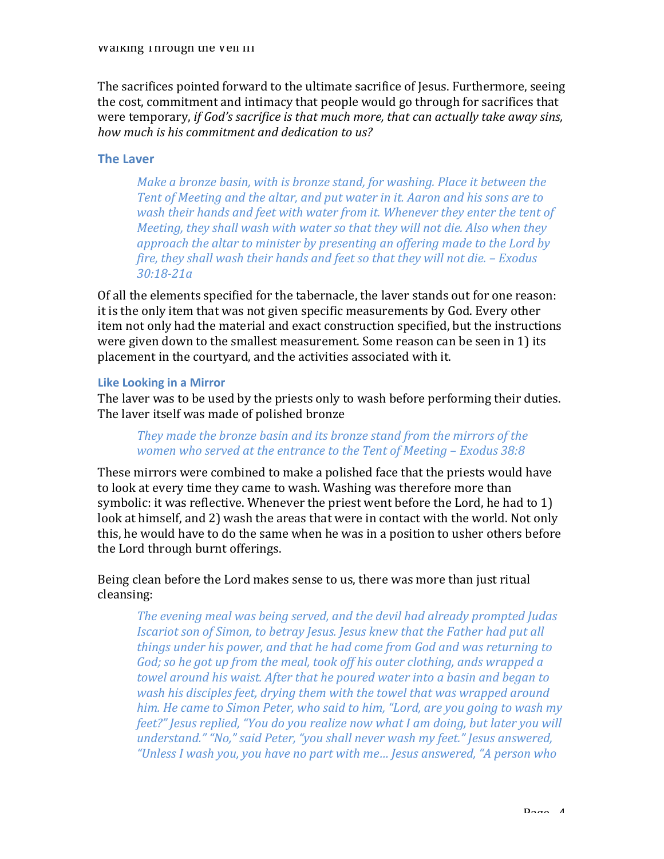The sacrifices pointed forward to the ultimate sacrifice of Jesus. Furthermore, seeing the cost, commitment and intimacy that people would go through for sacrifices that were temporary, *if God's sacrifice is that much more, that can actually take away sins,* how much is his commitment and dedication to us?

### **The Laver**

*Make a bronze basin, with is bronze stand, for washing. Place it between the Tent of Meeting and the altar, and put water in it. Aaron and his sons are to wash their hands and feet with water from it. Whenever they enter the tent of Meeting, they shall wash with water so that they will not die. Also when they* approach the altar to minister by presenting an offering made to the Lord by *fire, they shall wash their hands and feet so that they will not die.* – *Exodus 30:18-21a*

Of all the elements specified for the tabernacle, the laver stands out for one reason: it is the only item that was not given specific measurements by God. Every other item not only had the material and exact construction specified, but the instructions were given down to the smallest measurement. Some reason can be seen in 1) its placement in the courtyard, and the activities associated with it.

#### **Like Looking in a Mirror**

The laver was to be used by the priests only to wash before performing their duties. The laver itself was made of polished bronze

# *They made the bronze basin and its bronze stand from the mirrors of the women who served at the entrance to the Tent of Meeting – Exodus 38:8*

These mirrors were combined to make a polished face that the priests would have to look at every time they came to wash. Washing was therefore more than symbolic: it was reflective. Whenever the priest went before the Lord, he had to 1) look at himself, and 2) wash the areas that were in contact with the world. Not only this, he would have to do the same when he was in a position to usher others before the Lord through burnt offerings.

Being clean before the Lord makes sense to us, there was more than just ritual cleansing: 

*The evening meal was being served, and the devil had already prompted Judas Iscariot son of Simon, to betray Jesus. Jesus knew that the Father had put all things under his power, and that he had come from God and was returning to God;* so he got up from the meal, took off his outer clothing, ands wrapped a *towel around his waist. After that he poured water into a basin and began to wash his disciples feet, drying them with the towel that was wrapped around* him. He came to Simon Peter, who said to him, "Lord, are you going to wash my *feet?" Jesus replied, "You do you realize now what I am doing, but later you will understand."* "No," said Peter, "you shall never wash my feet." Jesus answered, *"Unless I wash you, you have no part with me… Jesus answered, "A person who*